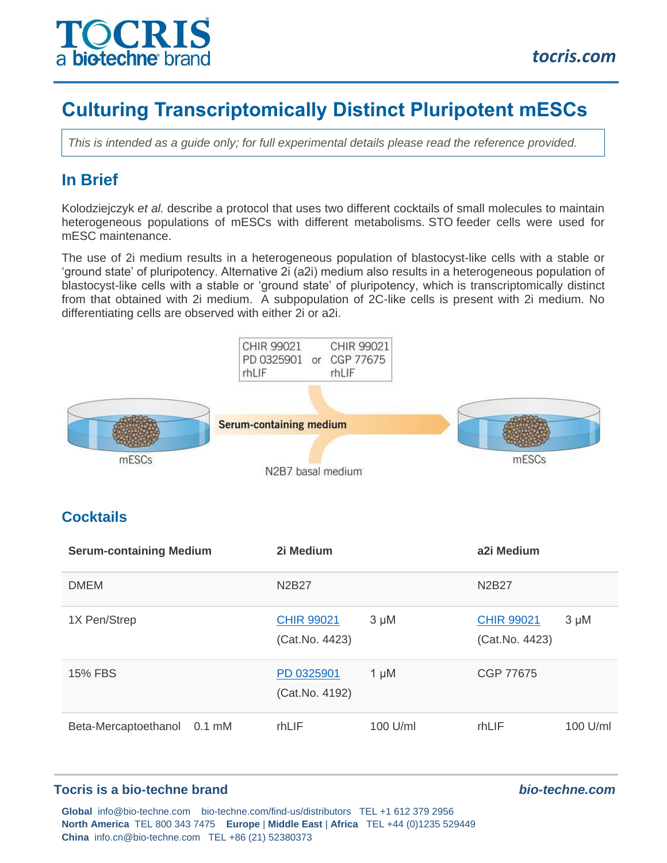

# **Culturing Transcriptomically Distinct Pluripotent mESCs**

*This is intended as a quide only; for full experimental details please read the reference provided.* 

## **In Brief**

Kolodziejczyk *et al.* describe a protocol that uses two different cocktails of small molecules to maintain heterogeneous populations of mESCs with different metabolisms. STO feeder cells were used for mESC maintenance.

The use of 2i medium results in a heterogeneous population of blastocyst-like cells with a stable or 'ground state' of pluripotency. Alternative 2i (a2i) medium also results in a heterogeneous population of blastocyst-like cells with a stable or 'ground state' of pluripotency, which is transcriptomically distinct from that obtained with 2i medium. A subpopulation of 2C-like cells is present with 2i medium. No differentiating cells are observed with either 2i or a2i.



| <b>DMEM</b>                 | N2B27                               |           | N <sub>2</sub> B <sub>27</sub>      |            |
|-----------------------------|-------------------------------------|-----------|-------------------------------------|------------|
| 1X Pen/Strep                | <b>CHIR 99021</b><br>(Cat.No. 4423) | $3 \mu M$ | <b>CHIR 99021</b><br>(Cat.No. 4423) | $3 \mu M$  |
| <b>15% FBS</b>              | PD 0325901<br>(Cat.No. 4192)        | $1 \mu M$ | CGP 77675                           |            |
| Beta-Mercaptoethanol 0.1 mM | rhLIF                               | 100 U/ml  | rhLIF                               | $100$ U/ml |

#### **Tocris is a bio-techne brand** *bio-techne.com*

**Global** info@bio-techne.com bio-techne.com/find-us/distributors TEL +1 612 379 2956 **North America** TEL 800 343 7475 **Europe** | **Middle East** | **Africa** TEL +44 (0)1235 529449 **China** info.cn@bio-techne.com TEL +86 (21) 52380373